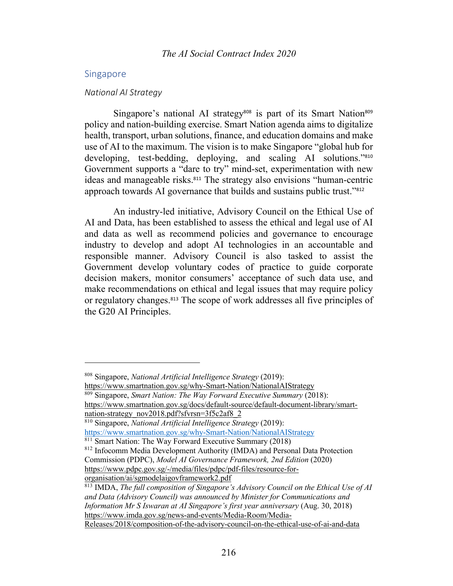### Singapore

#### *National AI Strategy*

Singapore's national AI strategy<sup>808</sup> is part of its Smart Nation<sup>809</sup> policy and nation-building exercise. Smart Nation agenda aims to digitalize health, transport, urban solutions, finance, and education domains and make use of AI to the maximum. The vision is to make Singapore "global hub for developing, test-bedding, deploying, and scaling AI solutions."<sup>810</sup> Government supports a "dare to try" mind-set, experimentation with new ideas and manageable risks.<sup>811</sup> The strategy also envisions "human-centric approach towards AI governance that builds and sustains public trust."<sup>812</sup>

An industry-led initiative, Advisory Council on the Ethical Use of AI and Data, has been established to assess the ethical and legal use of AI and data as well as recommend policies and governance to encourage industry to develop and adopt AI technologies in an accountable and responsible manner. Advisory Council is also tasked to assist the Government develop voluntary codes of practice to guide corporate decision makers, monitor consumers' acceptance of such data use, and make recommendations on ethical and legal issues that may require policy or regulatory changes.<sup>813</sup> The scope of work addresses all five principles of the G20 AI Principles.

https://www.smartnation.gov.sg/why-Smart-Nation/NationalAIStrategy

https://www.smartnation.gov.sg/docs/default-source/default-document-library/smartnation-strategy\_nov2018.pdf?sfvrsn=3f5c2af8\_2

<sup>808</sup> Singapore, *National Artificial Intelligence Strategy* (2019):

<sup>809</sup> Singapore, *Smart Nation: The Way Forward Executive Summary* (2018):

<sup>810</sup> Singapore, *National Artificial Intelligence Strategy* (2019): https://www.smartnation.gov.sg/why-Smart-Nation/NationalAIStrategy

 $811$  Smart Nation: The Way Forward Executive Summary (2018)

<sup>812</sup> Infocomm Media Development Authority (IMDA) and Personal Data Protection Commission (PDPC), *Model AI Governance Framework, 2nd Edition* (2020) https://www.pdpc.gov.sg/-/media/files/pdpc/pdf-files/resource-fororganisation/ai/sgmodelaigovframework2.pdf

<sup>813</sup> IMDA, *The full composition of Singapore's Advisory Council on the Ethical Use of AI and Data (Advisory Council) was announced by Minister for Communications and Information Mr S Iswaran at AI Singapore's first year anniversary* (Aug. 30, 2018) https://www.imda.gov.sg/news-and-events/Media-Room/Media-

Releases/2018/composition-of-the-advisory-council-on-the-ethical-use-of-ai-and-data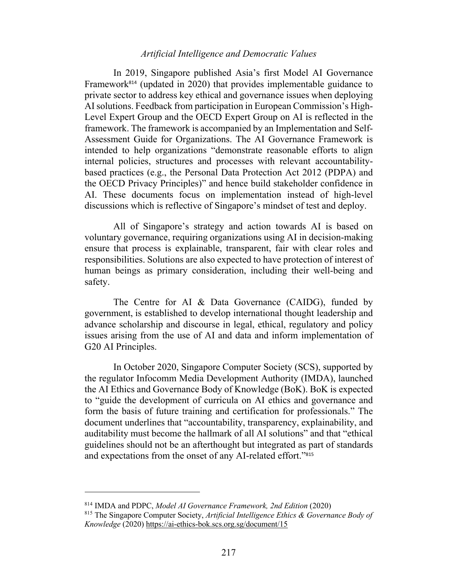# *Artificial Intelligence and Democratic Values*

In 2019, Singapore published Asia's first Model AI Governance Framework<sup>814</sup> (updated in 2020) that provides implementable guidance to private sector to address key ethical and governance issues when deploying AI solutions. Feedback from participation in European Commission's High-Level Expert Group and the OECD Expert Group on AI is reflected in the framework. The framework is accompanied by an Implementation and Self-Assessment Guide for Organizations. The AI Governance Framework is intended to help organizations "demonstrate reasonable efforts to align internal policies, structures and processes with relevant accountabilitybased practices (e.g., the Personal Data Protection Act 2012 (PDPA) and the OECD Privacy Principles)" and hence build stakeholder confidence in AI. These documents focus on implementation instead of high-level discussions which is reflective of Singapore's mindset of test and deploy.

All of Singapore's strategy and action towards AI is based on voluntary governance, requiring organizations using AI in decision-making ensure that process is explainable, transparent, fair with clear roles and responsibilities. Solutions are also expected to have protection of interest of human beings as primary consideration, including their well-being and safety.

The Centre for AI & Data Governance (CAIDG), funded by government, is established to develop international thought leadership and advance scholarship and discourse in legal, ethical, regulatory and policy issues arising from the use of AI and data and inform implementation of G20 AI Principles.

In October 2020, Singapore Computer Society (SCS), supported by the regulator Infocomm Media Development Authority (IMDA), launched the AI Ethics and Governance Body of Knowledge (BoK). BoK is expected to "guide the development of curricula on AI ethics and governance and form the basis of future training and certification for professionals." The document underlines that "accountability, transparency, explainability, and auditability must become the hallmark of all AI solutions" and that "ethical guidelines should not be an afterthought but integrated as part of standards and expectations from the onset of any AI-related effort."<sup>815</sup>

<sup>814</sup> IMDA and PDPC, *Model AI Governance Framework, 2nd Edition* (2020)

<sup>815</sup> The Singapore Computer Society, *Artificial Intelligence Ethics & Governance Body of Knowledge* (2020) https://ai-ethics-bok.scs.org.sg/document/15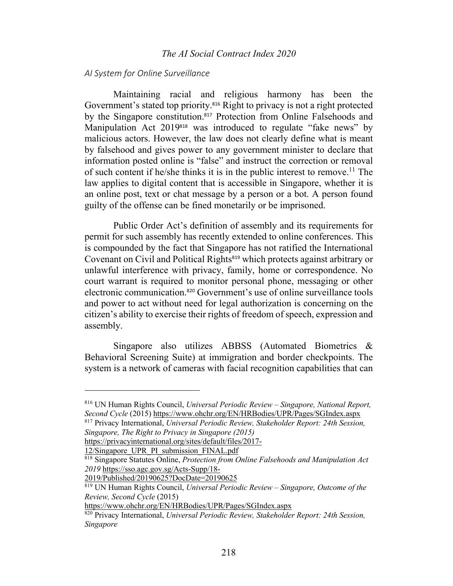## *The AI Social Contract Index 2020*

### *AI System for Online Surveillance*

Maintaining racial and religious harmony has been the Government's stated top priority.<sup>816</sup> Right to privacy is not a right protected by the Singapore constitution.<sup>817</sup> Protection from Online Falsehoods and Manipulation Act 2019<sup>818</sup> was introduced to regulate "fake news" by malicious actors. However, the law does not clearly define what is meant by falsehood and gives power to any government minister to declare that information posted online is "false" and instruct the correction or removal of such content if he/she thinks it is in the public interest to remove.<sup>11</sup> The law applies to digital content that is accessible in Singapore, whether it is an online post, text or chat message by a person or a bot. A person found guilty of the offense can be fined monetarily or be imprisoned.

Public Order Act's definition of assembly and its requirements for permit for such assembly has recently extended to online conferences. This is compounded by the fact that Singapore has not ratified the International Covenant on Civil and Political Rights<sup>819</sup> which protects against arbitrary or unlawful interference with privacy, family, home or correspondence. No court warrant is required to monitor personal phone, messaging or other electronic communication.<sup>820</sup> Government's use of online surveillance tools and power to act without need for legal authorization is concerning on the citizen's ability to exercise their rights of freedom of speech, expression and assembly.

Singapore also utilizes ABBSS (Automated Biometrics & Behavioral Screening Suite) at immigration and border checkpoints. The system is a network of cameras with facial recognition capabilities that can

https://privacyinternational.org/sites/default/files/2017-

12/Singapore\_UPR\_PI\_submission\_FINAL.pdf

https://www.ohchr.org/EN/HRBodies/UPR/Pages/SGIndex.aspx

<sup>816</sup> UN Human Rights Council, *Universal Periodic Review – Singapore, National Report, Second Cycle* (2015) https://www.ohchr.org/EN/HRBodies/UPR/Pages/SGIndex.aspx

<sup>817</sup> Privacy International, *Universal Periodic Review, Stakeholder Report: 24th Session, Singapore, The Right to Privacy in Singapore (2015)* 

<sup>818</sup> Singapore Statutes Online, *Protection from Online Falsehoods and Manipulation Act 2019* https://sso.agc.gov.sg/Acts-Supp/18-

<sup>2019/</sup>Published/20190625?DocDate=20190625

<sup>819</sup> UN Human Rights Council, *Universal Periodic Review – Singapore, Outcome of the Review, Second Cycle* (2015)

<sup>820</sup> Privacy International, *Universal Periodic Review, Stakeholder Report: 24th Session, Singapore*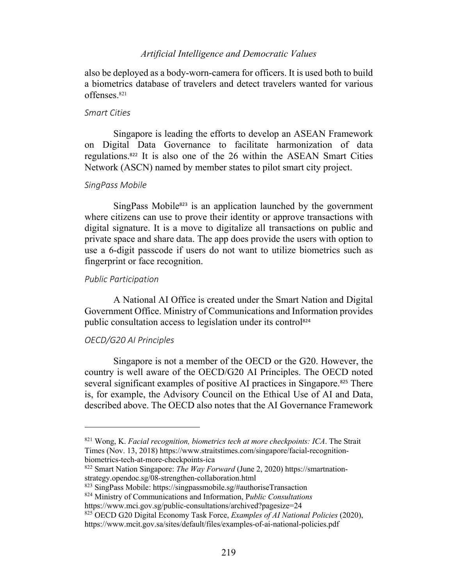# *Artificial Intelligence and Democratic Values*

also be deployed as a body-worn-camera for officers. It is used both to build a biometrics database of travelers and detect travelers wanted for various offenses.821

#### *Smart Cities*

Singapore is leading the efforts to develop an ASEAN Framework on Digital Data Governance to facilitate harmonization of data regulations.<sup>822</sup> It is also one of the 26 within the ASEAN Smart Cities Network (ASCN) named by member states to pilot smart city project.

# *SingPass Mobile*

 $SingPass Mobile<sup>823</sup>$  is an application launched by the government where citizens can use to prove their identity or approve transactions with digital signature. It is a move to digitalize all transactions on public and private space and share data. The app does provide the users with option to use a 6-digit passcode if users do not want to utilize biometrics such as fingerprint or face recognition.

#### *Public Participation*

A National AI Office is created under the Smart Nation and Digital Government Office. Ministry of Communications and Information provides public consultation access to legislation under its control<sup>824</sup>

#### *OECD/G20 AI Principles*

Singapore is not a member of the OECD or the G20. However, the country is well aware of the OECD/G20 AI Principles. The OECD noted several significant examples of positive AI practices in Singapore.<sup>825</sup> There is, for example, the Advisory Council on the Ethical Use of AI and Data, described above. The OECD also notes that the AI Governance Framework

<sup>821</sup> Wong, K. *Facial recognition, biometrics tech at more checkpoints: ICA*. The Strait Times (Nov. 13, 2018) https://www.straitstimes.com/singapore/facial-recognitionbiometrics-tech-at-more-checkpoints-ica

<sup>822</sup> Smart Nation Singapore: *The Way Forward* (June 2, 2020) https://smartnationstrategy.opendoc.sg/08-strengthen-collaboration.html

<sup>823</sup> SingPass Mobile: https://singpassmobile.sg/#authoriseTransaction

<sup>824</sup> Ministry of Communications and Information, P*ublic Consultations* 

https://www.mci.gov.sg/public-consultations/archived?pagesize=24

<sup>825</sup> OECD G20 Digital Economy Task Force, *Examples of AI National Policies* (2020), https://www.mcit.gov.sa/sites/default/files/examples-of-ai-national-policies.pdf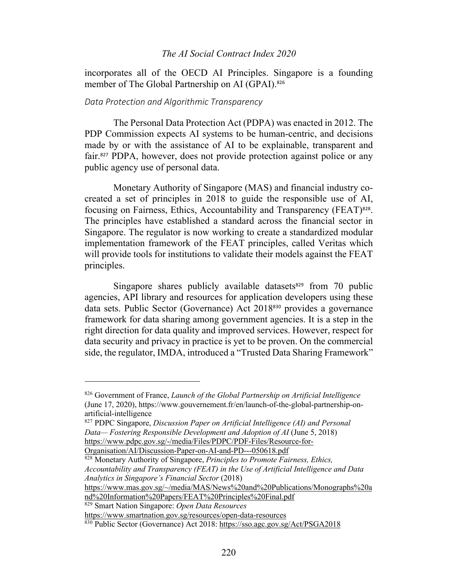## *The AI Social Contract Index 2020*

incorporates all of the OECD AI Principles. Singapore is a founding member of The Global Partnership on AI (GPAI).<sup>826</sup>

#### *Data Protection and Algorithmic Transparency*

The Personal Data Protection Act (PDPA) was enacted in 2012. The PDP Commission expects AI systems to be human-centric, and decisions made by or with the assistance of AI to be explainable, transparent and fair.<sup>827</sup> PDPA, however, does not provide protection against police or any public agency use of personal data.

Monetary Authority of Singapore (MAS) and financial industry cocreated a set of principles in 2018 to guide the responsible use of AI, focusing on Fairness, Ethics, Accountability and Transparency (FEAT)828. The principles have established a standard across the financial sector in Singapore. The regulator is now working to create a standardized modular implementation framework of the FEAT principles, called Veritas which will provide tools for institutions to validate their models against the FEAT principles.

Singapore shares publicly available datasets<sup>829</sup> from 70 public agencies, API library and resources for application developers using these data sets. Public Sector (Governance) Act 2018<sup>830</sup> provides a governance framework for data sharing among government agencies. It is a step in the right direction for data quality and improved services. However, respect for data security and privacy in practice is yet to be proven. On the commercial side, the regulator, IMDA, introduced a "Trusted Data Sharing Framework"

Organisation/AI/Discussion-Paper-on-AI-and-PD---050618.pdf

<sup>828</sup> Monetary Authority of Singapore, *Principles to Promote Fairness, Ethics, Accountability and Transparency (FEAT) in the Use of Artificial Intelligence and Data Analytics in Singapore's Financial Sector* (2018)

https://www.mas.gov.sg/~/media/MAS/News%20and%20Publications/Monographs%20a nd%20Information%20Papers/FEAT%20Principles%20Final.pdf

https://www.smartnation.gov.sg/resources/open-data-resources

<sup>826</sup> Government of France, *Launch of the Global Partnership on Artificial Intelligence* (June 17, 2020), https://www.gouvernement.fr/en/launch-of-the-global-partnership-onartificial-intelligence

<sup>827</sup> PDPC Singapore, *Discussion Paper on Artificial Intelligence (AI) and Personal Data— Fostering Responsible Development and Adoption of AI* (June 5, 2018) https://www.pdpc.gov.sg/-/media/Files/PDPC/PDF-Files/Resource-for-

<sup>829</sup> Smart Nation Singapore: *Open Data Resources*

<sup>830</sup> Public Sector (Governance) Act 2018: https://sso.agc.gov.sg/Act/PSGA2018